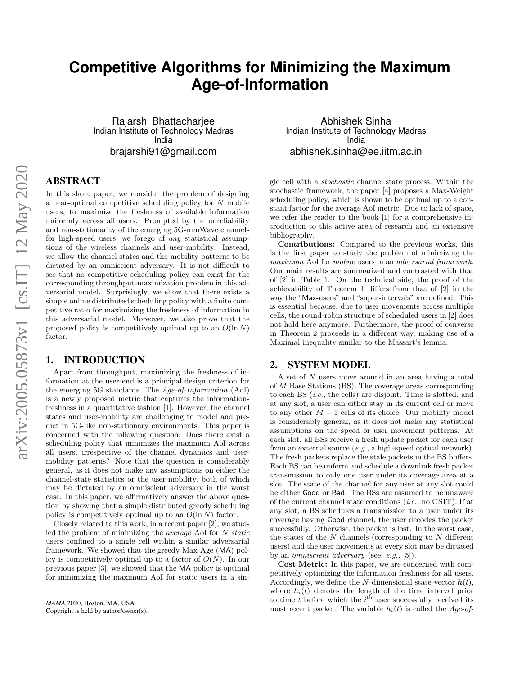# **Competitive Algorithms for Minimizing the Maximum Age-of-Information**

Rajarshi Bhattacharjee Indian Institute of Technology Madras India brajarshi91@gmail.com

# ABSTRACT

In this short paper, we consider the problem of designing a near-optimal competitive scheduling policy for N mobile users, to maximize the freshness of available information uniformly across all users. Prompted by the unreliability and non-stationarity of the emerging 5G-mmWave channels for high-speed users, we forego of any statistical assumptions of the wireless channels and user-mobility. Instead, we allow the channel states and the mobility patterns to be dictated by an omniscient adversary. It is not difficult to see that no competitive scheduling policy can exist for the corresponding throughput-maximization problem in this adversarial model. Surprisingly, we show that there exists a simple online distributed scheduling policy with a finite competitive ratio for maximizing the freshness of information in this adversarial model. Moreover, we also prove that the proposed policy is competitively optimal up to an  $O(\ln N)$ factor.

# 1. INTRODUCTION

Apart from throughput, maximizing the freshness of information at the user-end is a principal design criterion for the emerging 5G standards. The Age-of-Information (AoI) is a newly proposed metric that captures the informationfreshness in a quantitative fashion [1]. However, the channel states and user-mobility are challenging to model and predict in 5G-like non-stationary environments. This paper is concerned with the following question: Does there exist a scheduling policy that minimizes the maximum AoI across all users, irrespective of the channel dynamics and usermobility patterns? Note that the question is considerably general, as it does not make any assumptions on either the channel-state statistics or the user-mobility, both of which may be dictated by an omniscient adversary in the worst case. In this paper, we affirmatively answer the above question by showing that a simple distributed greedy scheduling policy is competitively optimal up to an  $O(\ln N)$  factor.

Closely related to this work, in a recent paper [2], we studied the problem of minimizing the average AoI for N static users confined to a single cell within a similar adversarial framework. We showed that the greedy Max-Age (MA) policy is competitively optimal up to a factor of  $O(N)$ . In our previous paper [3], we showed that the MA policy is optimal for minimizing the maximum AoI for static users in a sin-

Abhishek Sinha Indian Institute of Technology Madras India abhishek.sinha@ee.iitm.ac.in

gle cell with a stochastic channel state process. Within the stochastic framework, the paper [4] proposes a Max-Weight scheduling policy, which is shown to be optimal up to a constant factor for the average AoI metric. Due to lack of space, we refer the reader to the book [1] for a comprehensive introduction to this active area of research and an extensive bibliography.

Contributions: Compared to the previous works, this is the first paper to study the problem of minimizing the maximum AoI for mobile users in an adversarial framework. Our main results are summarized and contrasted with that of [2] in Table 1. On the technical side, the proof of the achievability of Theorem 1 differs from that of [2] in the way the "Max-users" and "super-intervals" are defined. This is essential because, due to user movements across multiple cells, the round-robin structure of scheduled users in [2] does not hold here anymore. Furthermore, the proof of converse in Theorem 2 proceeds in a different way, making use of a Maximal inequality similar to the Massart's lemma.

### 2. SYSTEM MODEL

A set of N users move around in an area having a total of M Base Stations (BS). The coverage areas corresponding to each BS  $(i.e.,$  the cells) are disjoint. Time is slotted, and at any slot, a user can either stay in its current cell or move to any other  $M-1$  cells of its choice. Our mobility model is considerably general, as it does not make any statistical assumptions on the speed or user movement patterns. At each slot, all BSs receive a fresh update packet for each user from an external source (e.g., a high-speed optical network). The fresh packets replace the stale packets in the BS buffers. Each BS can beamform and schedule a downlink fresh packet transmission to only one user under its coverage area at a slot. The state of the channel for any user at any slot could be either Good or Bad. The BSs are assumed to be unaware of the current channel state conditions (i.e., no CSIT). If at any slot, a BS schedules a transmission to a user under its coverage having Good channel, the user decodes the packet successfully. Otherwise, the packet is lost. In the worst case, the states of the  $N$  channels (corresponding to  $N$  different users) and the user movements at every slot may be dictated by an omniscient adversary (see, e.g., [5]).

Cost Metric: In this paper, we are concerned with competitively optimizing the information freshness for all users. Accordingly, we define the N-dimensional state-vector  $h(t)$ , where  $h_i(t)$  denotes the length of the time interval prior to time t before which the  $i<sup>th</sup>$  user successfully received its most recent packet. The variable  $h_i(t)$  is called the Age-of-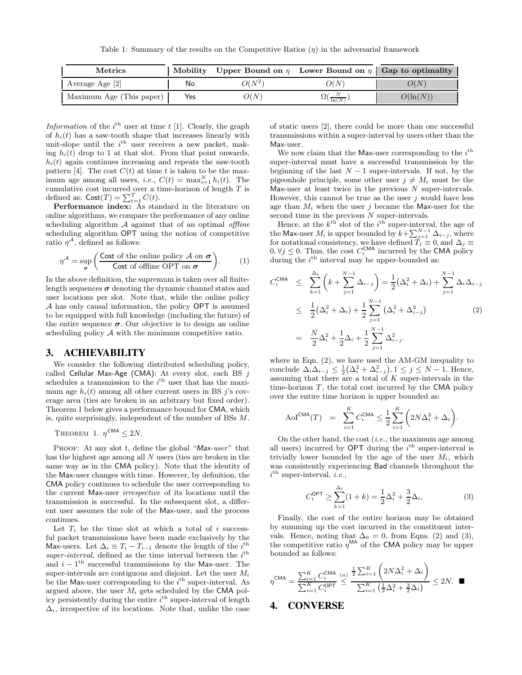Table 1: Summary of the results on the Competitive Ratios  $(\eta)$  in the adversarial framework

| <b>Metrics</b>           | Mobility | Upper Bound on $\eta$ Lower Bound on $\eta$ Gap to optimality |                    |             |
|--------------------------|----------|---------------------------------------------------------------|--------------------|-------------|
| Average Age [2]          | No       | $O(N^{2}$                                                     | O(N)               | O(N)        |
| Maximum Age (This paper) | Yes      | O(N)                                                          | $\sqrt[3]{\ln(N)}$ | $O(\ln(N))$ |

Information of the  $i^{\text{th}}$  user at time t [1]. Clearly, the graph of  $h_i(t)$  has a saw-tooth shape that increases linearly with unit-slope until the  $i<sup>th</sup>$  user receives a new packet, making  $h_i(t)$  drop to 1 at that slot. From that point onwards,  $h_i(t)$  again continues increasing and repeats the saw-tooth pattern [4]. The cost  $C(t)$  at time t is taken to be the maximum age among all users, *i.e.*,  $C(t) = \max_{i=1}^{N} h_i(t)$ . The cumulative cost incurred over a time-horizon of length  $T$  is defined as:  $\text{Cost}(T) = \sum_{t=1}^{T} C(t)$ .

Performance index: As standard in the literature on online algorithms, we compare the performance of any online scheduling algorithm  $A$  against that of an optimal *offline* scheduling algorithm OPT using the notion of competitive ratio  $\eta^{\mathcal{A}}$ , defined as follows:

$$
\eta^{\mathcal{A}} = \sup_{\sigma} \left( \frac{\text{Cost of the online policy } \mathcal{A} \text{ on } \sigma}{\text{Cost of offline OPT on } \sigma} \right). \tag{1}
$$

In the above definition, the supremum is taken over all finitelength sequences  $\sigma$  denoting the dynamic channel states and user locations per slot. Note that, while the online policy A has only causal information, the policy OPT is assumed to be equipped with full knowledge (including the future) of the entire sequence  $\sigma$ . Our objective is to design an online scheduling policy  $A$  with the minimum competitive ratio.

#### 3. ACHIEVABILITY

We consider the following distributed scheduling policy, called Cellular Max-Age (CMA): At every slot, each BS  $i$ schedules a transmission to the  $i<sup>th</sup>$  user that has the maximum age  $h_i(t)$  among all other current users in BS j's coverage area (ties are broken in an arbitrary but fixed order). Theorem 1 below gives a performance bound for CMA, which is, quite surprisingly, independent of the number of BSs M.

THEOREM 1. 
$$
\eta^{CMA} \leq 2N
$$
.

PROOF: At any slot  $t$ , define the global "Max-user" that has the highest age among all N users (ties are broken in the same way as in the CMA policy). Note that the identity of the Max-user changes with time. However, by definition, the CMA policy continues to schedule the user corresponding to the current Max-user irrespective of its locations until the transmission is successful. In the subsequent slot, a different user assumes the role of the Max-user, and the process continues.

Let  $T_i$  be the time slot at which a total of i successful packet transmissions have been made exclusively by the Max-users. Let  $\Delta_i \equiv T_i - T_{i-1}$  denote the length of the i<sup>th</sup> super-interval, defined as the time interval between the  $i<sup>th</sup>$ and  $i - 1$ <sup>th</sup> successful transmissions by the Max-user. The super-intervals are contiguous and disjoint. Let the user  $M_i$ be the Max-user corresponding to the  $i<sup>th</sup>$  super-interval. As argued above, the user  $M_i$  gets scheduled by the CMA policy persistently during the entire  $i^{\text{th}}$  super-interval of length  $\Delta_i$ , irrespective of its locations. Note that, unlike the case of static users [2], there could be more than one successful transmissions within a super-interval by users other than the Max-user.

We now claim that the Max-user corresponding to the  $i<sup>th</sup>$ super-interval must have a successful transmission by the beginning of the last  $N-1$  super-intervals. If not, by the pigeonhole principle, some other user  $j \neq M_i$  must be the Max-user at least twice in the previous  $N$  super-intervals. However, this cannot be true as the user  $j$  would have less age than  $M_i$  when the user j became the Max-user for the second time in the previous  $N$  super-intervals.

Hence, at the  $k^{\text{th}}$  slot of the  $i^{\text{th}}$  super-interval, the age of the Max-user  $M_i$  is upper bounded by  $k+\sum_{j=1}^{N-1} \Delta_{i-j}$ , where for notational consistency, we have defined  $\tilde{T}_j \equiv 0$ , and  $\Delta_j \equiv$  $0, \forall j \leq 0$ . Thus, the cost  $C_i^{\text{CMA}}$  incurred by the CMA policy during the  $i^{\text{th}}$  interval may be upper-bounded as:

$$
C_i^{\text{CMA}} \leq \sum_{k=1}^{\Delta_i} \left( k + \sum_{j=1}^{N-1} \Delta_{i-j} \right) = \frac{1}{2} \left( \Delta_i^2 + \Delta_i \right) + \sum_{j=1}^{N-1} \Delta_i \Delta_{i-j}
$$
  

$$
\leq \frac{1}{2} \left( \Delta_i^2 + \Delta_i \right) + \frac{1}{2} \sum_{j=1}^{N-1} \left( \Delta_i^2 + \Delta_{i-j}^2 \right)
$$
  

$$
= \frac{N}{2} \Delta_i^2 + \frac{1}{2} \Delta_i + \frac{1}{2} \sum_{j=1}^{N-1} \Delta_{i-j}^2.
$$
 (2)

where in Eqn. (2), we have used the AM-GM inequality to conclude  $\Delta_i \Delta_{i-j} \leq \frac{1}{2} (\Delta_i^2 + \Delta_{i-j}^2), 1 \leq j \leq N-1$ . Hence, assuming that there are a total of  $K$  super-intervals in the time-horizon  $T$ , the total cost incurred by the CMA policy over the entire time horizon is upper bounded as:

$$
\mathrm{AoI}^{\mathrm{CMA}}(T) = \sum_{i=1}^{K} C_i^{\mathrm{CMA}} \le \frac{1}{2} \sum_{i=1}^{K} \left( 2N\Delta_i^2 + \Delta_i \right).
$$

On the other hand, the cost  $(i.e.,$  the maximum age among all users) incurred by  $OPT$  during the  $i<sup>th</sup>$  super-interval is trivially lower bounded by the age of the user  $M_i$ , which was consistently experiencing Bad channels throughout the  $i^{\text{th}}$  super-interval, *i.e.*,

$$
C_i^{\text{OPT}} \ge \sum_{k=1}^{\Delta_i} (1+k) = \frac{1}{2} \Delta_i^2 + \frac{3}{2} \Delta_i,
$$
 (3)

Finally, the cost of the entire horizon may be obtained by summing up the cost incurred in the constituent intervals. Hence, noting that  $\Delta_0 = 0$ , from Eqns. (2) and (3), the competitive ratio  $\eta^{\text{MA}}$  of the CMA policy may be upper bounded as follows:

$$
\eta^{\text{CMA}} = \frac{\sum_{i=1}^{K} C_i^{\text{CMA}}}{\sum_{i=1}^{K} C_i^{\text{OPT}}} \stackrel{(a)}{\leq} \frac{\frac{1}{2} \sum_{i=1}^{K} \left( 2N\Delta_i^2 + \Delta_i \right)}{\sum_{i=1}^{K} \left( \frac{1}{2} \Delta_i^2 + \frac{3}{2} \Delta_i \right)} \leq 2N. \quad \blacksquare
$$

## 4. CONVERSE